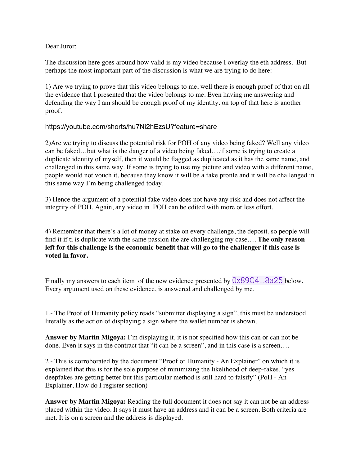Dear Juror:

The discussion here goes around how valid is my video because I overlay the eth address. But perhaps the most important part of the discussion is what we are trying to do here:

1) Are we trying to prove that this video belongs to me, well there is enough proof of that on all the evidence that I presented that the video belongs to me. Even having me answering and defending the way I am should be enough proof of my identity. on top of that here is another proof.

## https://youtube.com/shorts/hu7Ni2hEzsU?feature=share

2)Are we trying to discuss the potential risk for POH of any video being faked? Well any video can be faked…but what is the danger of a video being faked….if some is trying to create a duplicate identity of myself, then it would be flagged as duplicated as it has the same name, and challenged in this same way. If some is trying to use my picture and video with a different name, people would not vouch it, because they know it will be a fake profile and it will be challenged in this same way I'm being challenged today.

3) Hence the argument of a potential fake video does not have any risk and does not affect the integrity of POH. Again, any video in POH can be edited with more or less effort.

4) Remember that there's a lot of money at stake on every challenge, the deposit, so people will find it if ti is duplicate with the same passion the are challenging my case…. **The only reason left for this challenge is the economic benefit that will go to the challenger if this case is voted in favor.** 

Finally my answers to each item of the new evidence presented by  $0 \times 89C4...8a25$  below. Every argument used on these evidence, is answered and challenged by me.

1.- The Proof of Humanity policy reads "submitter displaying a sign", this must be understood literally as the action of displaying a sign where the wallet number is shown.

**Answer by Martin Migoya:** I'm displaying it, it is not specified how this can or can not be done. Even it says in the contract that "it can be a screen", and in this case is a screen….

2.- This is corroborated by the document "Proof of Humanity - An Explainer" on which it is explained that this is for the sole purpose of minimizing the likelihood of deep-fakes, "yes deepfakes are getting better but this particular method is still hard to falsify" (PoH - An Explainer, How do I register section)

**Answer by Martin Migoya:** Reading the full document it does not say it can not be an address placed within the video. It says it must have an address and it can be a screen. Both criteria are met. It is on a screen and the address is displayed.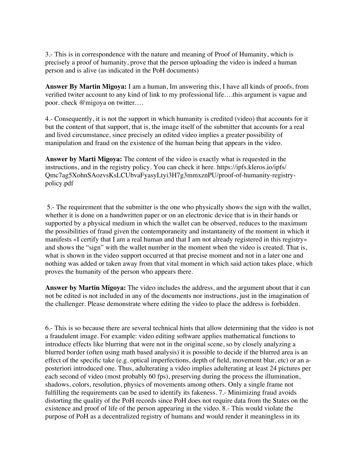3.- This is in correspondence with the nature and meaning of Proof of Humanity, which is precisely a proof of humanity, prove that the person uploading the video is indeed a human person and is alive (as indicated in the PoH documents)

**Answer By Martin Migoya:** I am a human, Im answering this, I have all kinds of proofs, from verified twiter account to any kind of link to my professional life….this argument is vague and poor. check @migoya on twitter….

4.- Consequently, it is not the support in which humanity is credited (video) that accounts for it but the content of that support, that is, the image itself of the submitter that accounts for a real and lived circumstance, since precisely an edited video implies a greater possibility of manipulation and fraud on the existence of the human being that appears in the video.

**Answer by Marti Migoya:** The content of the video is exactly what is requested in the instructions, and in the registry policy. You can check it here. https://ipfs.kleros.io/ipfs/ Qmc7ag5XohnSAozvsKsLCUbvaFyasyLtyi3H7g3mmxznPU/proof-of-humanity-registrypolicy.pdf

 5.- The requirement that the submitter is the one who physically shows the sign with the wallet, whether it is done on a handwritten paper or on an electronic device that is in their hands or supported by a physical medium in which the wallet can be observed, reduces to the maximum the possibilities of fraud given the contemporaneity and instantaneity of the moment in which it manifests «I certify that I am a real human and that I am not already registered in this registry» and shows the "sign" with the wallet number in the moment when the video is created. That is, what is shown in the video support occurred at that precise moment and not in a later one and nothing was added or taken away from that vital moment in which said action takes place, which proves the humanity of the person who appears there.

**Answer by Martin Migoya:** The video includes the address, and the argument about that it can not be edited is not included in any of the documents nor instructions, just in the imagination of the challenger. Please demonstrate where editing the video to place the address is forbidden.

6.- This is so because there are several technical hints that allow determining that the video is not a fraudulent image. For example: video editing software applies mathematical functions to introduce effects like blurring that were not in the original scene, so by closely analyzing a blurred border (often using math based analysis) it is possible to decide if the blurred area is an effect of the specific take (e.g. optical imperfections, depth of field, movement blur, etc) or an aposteriori introduced one. Thus, adulterating a video implies adulterating at least 24 pictures per each second of video (most probably 60 fps), preserving during the process the illumination, shadows, colors, resolution, physics of movements among others. Only a single frame not fulfilling the requirements can be used to identify its fakeness. 7.- Minimizing fraud avoids distorting the quality of the PoH records since PoH does not require data from the States on the existence and proof of life of the person appearing in the video. 8.- This would violate the purpose of PoH as a decentralized registry of humans and would render it meaningless in its